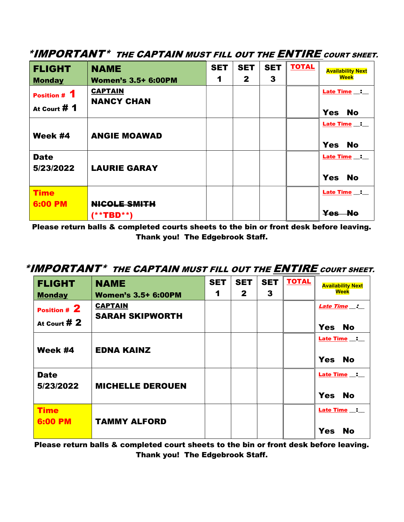| <b>FLIGHT</b>                  | <b>NAME</b>                         | <b>SET</b>           | <b>SET</b>   | <b>SET</b> | <b>TOTAL</b> | <b>Availability Next</b>                |
|--------------------------------|-------------------------------------|----------------------|--------------|------------|--------------|-----------------------------------------|
| <b>Monday</b>                  | <b>Women's 3.5+ 6:00PM</b>          | $\blacktriangleleft$ | $\mathbf{2}$ | 3          |              | <b>Week</b>                             |
| Position # 1<br>At Court $# 1$ | <b>CAPTAIN</b><br><b>NANCY CHAN</b> |                      |              |            |              | Late Time _:<br><b>Yes</b><br><b>No</b> |
| Week #4                        | <b>ANGIE MOAWAD</b>                 |                      |              |            |              | Late Time _:<br><b>Yes</b><br><b>No</b> |
| <b>Date</b><br>5/23/2022       | <b>LAURIE GARAY</b>                 |                      |              |            |              | Late Time _:<br><b>Yes</b><br><b>No</b> |
| <b>Time</b><br><b>6:00 PM</b>  | <b>NICOLE SMITH</b><br>(**TBD**)    |                      |              |            |              | Late Time _:<br>Yes No                  |

## \*IMPORTANT\* THE CAPTAIN MUST FILL OUT THE ENTIRE COURT SHEET.

Please return balls & completed courts sheets to the bin or front desk before leaving. Thank you! The Edgebrook Staff.

## \*IMPORTANT\* THE CAPTAIN MUST FILL OUT THE **ENTIRE** COURT SHEET.

| <b>FLIGHT</b><br><b>Monday</b> | <b>NAME</b><br><b>Women's 3.5+ 6:00PM</b> | <b>SET</b><br>1 | <b>SET</b><br>$\mathbf{2}$ | <b>SET</b><br>3 | <b>TOTAL</b> | <b>Availability Next</b><br><b>Week</b>   |
|--------------------------------|-------------------------------------------|-----------------|----------------------------|-----------------|--------------|-------------------------------------------|
| Position # 2<br>At Court $#2$  | <b>CAPTAIN</b><br><b>SARAH SKIPWORTH</b>  |                 |                            |                 |              | Late Time _:<br><b>Yes</b><br><b>No</b>   |
| Week #4                        | <b>EDNA KAINZ</b>                         |                 |                            |                 |              | Late Time _: _<br><b>Yes</b><br><b>No</b> |
| <b>Date</b><br>5/23/2022       | <b>MICHELLE DEROUEN</b>                   |                 |                            |                 |              | Late Time _:<br><b>Yes</b><br><b>No</b>   |
| <b>Time</b><br>6:00 PM         | <b>TAMMY ALFORD</b>                       |                 |                            |                 |              | Late Time _: _<br><b>Yes</b><br><b>No</b> |

Please return balls & completed court sheets to the bin or front desk before leaving. Thank you! The Edgebrook Staff.